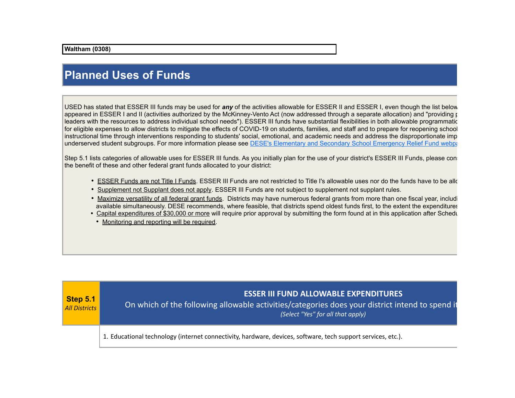## **Planned Uses of Funds**

USED has stated that ESSER III funds may be used for *any* of the activities allowable for ESSER II and ESSER I, even though the list below appeared in ESSER I and II (activities authorized by the McKinney-Vento Act (now addressed through a separate allocation) and "providing principals" leaders with the resources to address individual school needs"). ESSER III funds have substantial flexibilities in both allowable programmatic for eligible expenses to allow districts to mitigate the effects of COVID-19 on students, families, and staff and to prepare for reopening school instructional time through interventions responding to students' social, emotional, and academic needs and address the disproportionate imp underserved student subgroups. For more information please see DESE's Elementary and Secondary School Emergency Relief Fund webpage.

Step 5.1 lists categories of allowable uses for ESSER III funds. As you initially plan for the use of your district's ESSER III Funds, please conthe benefit of these and other federal grant funds allocated to your district:

- ESSER Funds are not Title I Funds. ESSER III Funds are not restricted to Title I's allowable uses nor do the funds have to be allocated to individual schools. The unit schools and the funds have to be allocated to indivi
- Supplement not Supplant does not apply. ESSER III Funds are not subject to supplement not supplant rules.
- Maximize versatility of all federal grant funds. Districts may have numerous federal grants from more than one fiscal year, including available simultaneously. DESE recommends, where feasible, that districts spend oldest funds first, to the extent the expenditures
- Capital expenditures of \$30,000 or more will require prior approval by submitting the form found at in this application after Schedu
	- Monitoring and reporting will be required.

| $\mathsf{Step 5.1}$<br><b>All Districts</b> | <b>ESSER III FUND ALLOWABLE EXPENDITURES</b><br>On which of the following allowable activities/categories does your district intend to spend it<br>(Select "Yes" for all that apply) |
|---------------------------------------------|--------------------------------------------------------------------------------------------------------------------------------------------------------------------------------------|
|                                             | 1. Educational technology (internet connectivity, hardware, devices, software, tech support services, etc.).                                                                         |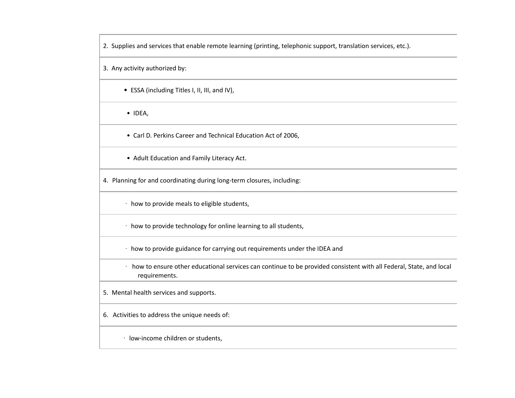2. Supplies and services that enable remote learning (printing, telephonic support, translation services, etc.).

3. Any activity authorized by:

- ESSA (including Titles I, II, III, and IV),
- IDEA,

 $\overline{a}$ 

• Carl D. Perkins Career and Technical Education Act of 2006,

- Adult Education and Family Literacy Act.
- 4. Planning for and coordinating during long-term closures, including:
	- · how to provide meals to eligible students,
	- · how to provide technology for online learning to all students,
	- · how to provide guidance for carrying out requirements under the IDEA and
	- · how to ensure other educational services can continue to be provided consistent with all Federal, State, and local requirements.
- 5. Mental health services and supports.
- 6. Activities to address the unique needs of:
	- · low-income children or students,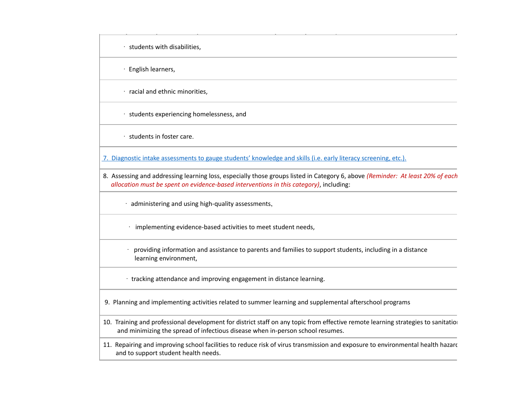$\cdot$  students with disabilities.

· English learners,

 $\cdot$  racial and ethnic minorities.

· students experiencing homelessness, and

· students in foster care.

7. Diagnostic intake assessments to gauge students' knowledge and skills (i.e. early literacy screening, etc.).

- 8. Assessing and addressing learning loss, especially those groups listed in Category 6, above *(Reminder: At least 20% of each allocation must be spent on evidence-based interventions in this category)*, including:
	- · administering and using high-quality assessments,
	- · implementing evidence-based activities to meet student needs,
	- · providing information and assistance to parents and families to support students, including in a distance learning environment,
	- · tracking attendance and improving engagement in distance learning.

9. Planning and implementing activities related to summer learning and supplemental afterschool programs

- 10. Training and professional development for district staff on any topic from effective remote learning strategies to sanitation and minimizing the spread of infectious disease when in-person school resumes.
- 11. Repairing and improving school facilities to reduce risk of virus transmission and exposure to environmental health hazard and to support student health needs.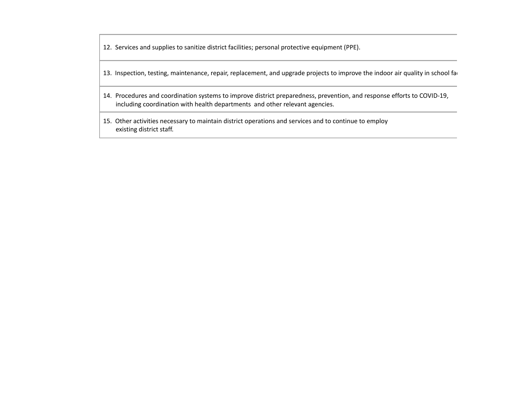12. Services and supplies to sanitize district facilities; personal protective equipment (PPE).

- 13. Inspection, testing, maintenance, repair, replacement, and upgrade projects to improve the indoor air quality in school faction.
- 14. Procedures and coordination systems to improve district preparedness, prevention, and response efforts to COVID-19, including coordination with health departments and other relevant agencies.
- 15. Other activities necessary to maintain district operations and services and to continue to employ existing district staff.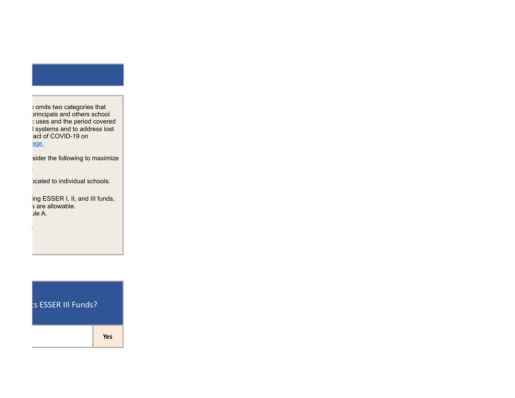*i* omits two categories that principals and others school ) uses and the period covered I systems and to address lost act of COVID-19 on underserved substrukturen subgroups. For more information please see DESE's Elementary and Secondary Relief Fu

sider the following to maximize

bcated to individual schools.

 $\frac{1}{2}$  ing ESSER I, II, and III funds, sare allowable. s are allowable.  $\mathsf{L}$  is  $\mathsf{L}$  and  $\mathsf{L}$ 

**SESSER III Funds?** 

1. Educational technology (internet connectivity, hardware, devices, software, tech support services, etc.). **Yes**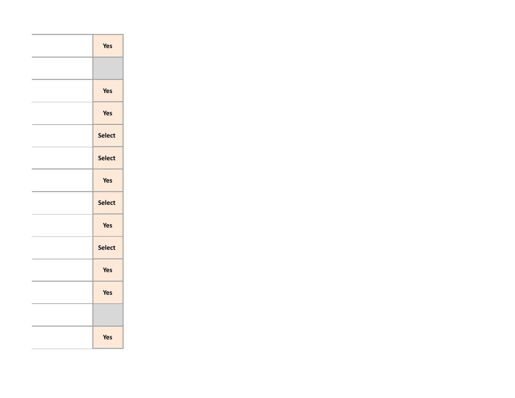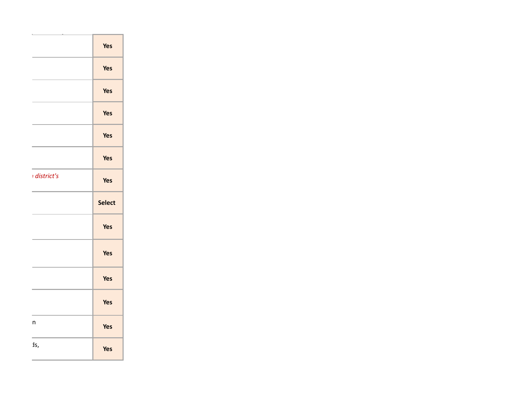|                    | Yes    |
|--------------------|--------|
|                    | Yes    |
|                    | Yes    |
|                    | Yes    |
|                    | Yes    |
|                    | Yes    |
| $\iota$ district's | Yes    |
|                    |        |
|                    | Select |
|                    | Yes    |
|                    | Yes    |
|                    | Yes    |
|                    | Yes    |
| $\sf n$            | Yes    |